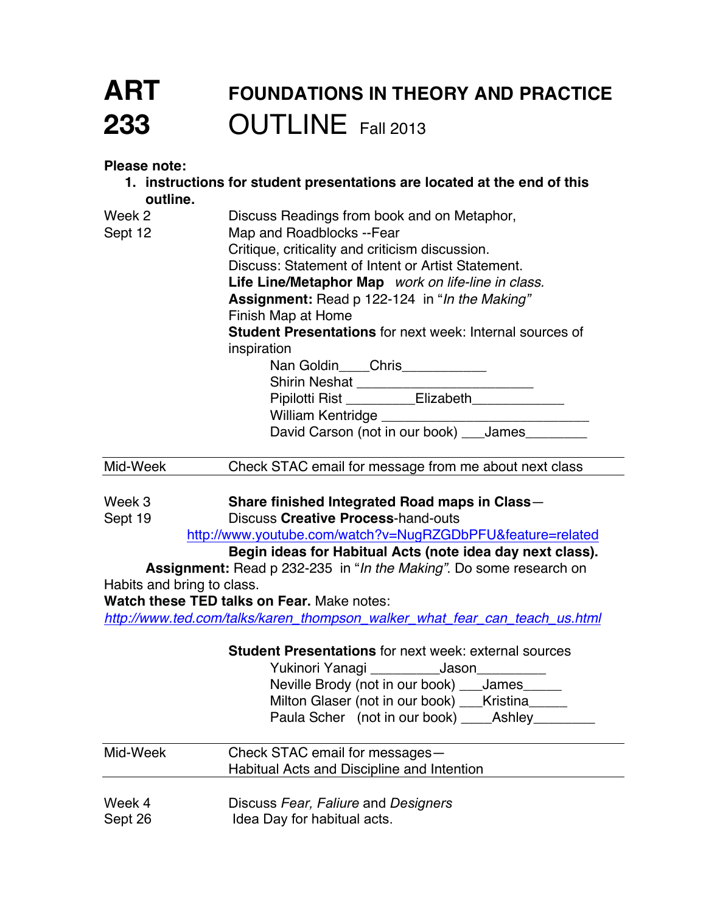# **ART FOUNDATIONS IN THEORY AND PRACTICE 233** OUTLINE Fall 2013

**Please note:**

- **1. instructions for student presentations are located at the end of this outline.** Week 2 **Discuss Readings from book and on Metaphor**, Sept 12 Map and Roadblocks --Fear
- Critique, criticality and criticism discussion. Discuss: Statement of Intent or Artist Statement. **Life Line/Metaphor Map** *work on life-line in class.* **Assignment:** Read p 122-124 in "*In the Making"* Finish Map at Home **Student Presentations** for next week: Internal sources of inspiration

Nan Goldin\_\_\_\_Chris\_\_\_\_\_\_\_\_\_\_\_ Shirin Neshat \_\_\_\_\_\_\_\_\_\_\_\_\_\_\_\_\_\_\_\_\_\_\_ Pipilotti Rist \_\_\_\_\_\_\_\_\_Elizabeth\_\_\_\_\_\_\_\_\_\_\_\_\_\_ William Kentridge David Carson (not in our book) James

Mid-Week Check STAC email for message from me about next class

Week 3 **Share finished Integrated Road maps in Class**—

Sept 19 Discuss **Creative Process**-hand-outs

http://www.youtube.com/watch?v=NugRZGDbPFU&feature=related

### **Begin ideas for Habitual Acts (note idea day next class).**

**Assignment:** Read p 232-235 in "*In the Making"*. Do some research on Habits and bring to class.

**Watch these TED talks on Fear.** Make notes:

*http://www.ted.com/talks/karen\_thompson\_walker\_what\_fear\_can\_teach\_us.html*

### **Student Presentations** for next week: external sources

Yukinori Yanagi \_\_\_\_\_\_\_\_\_Jason\_\_\_\_\_\_\_\_\_ Neville Brody (not in our book) \_\_\_James\_\_\_\_\_ Milton Glaser (not in our book) \_\_\_Kristina\_\_\_\_\_ Paula Scher (not in our book) \_\_\_\_Ashley\_\_\_\_\_\_\_\_

| Mid-Week | Check STAC email for messages-<br>Habitual Acts and Discipline and Intention |
|----------|------------------------------------------------------------------------------|
| Week 4   | Discuss Fear, Faliure and Designers                                          |

Sept 26 **Idea Day for habitual acts.**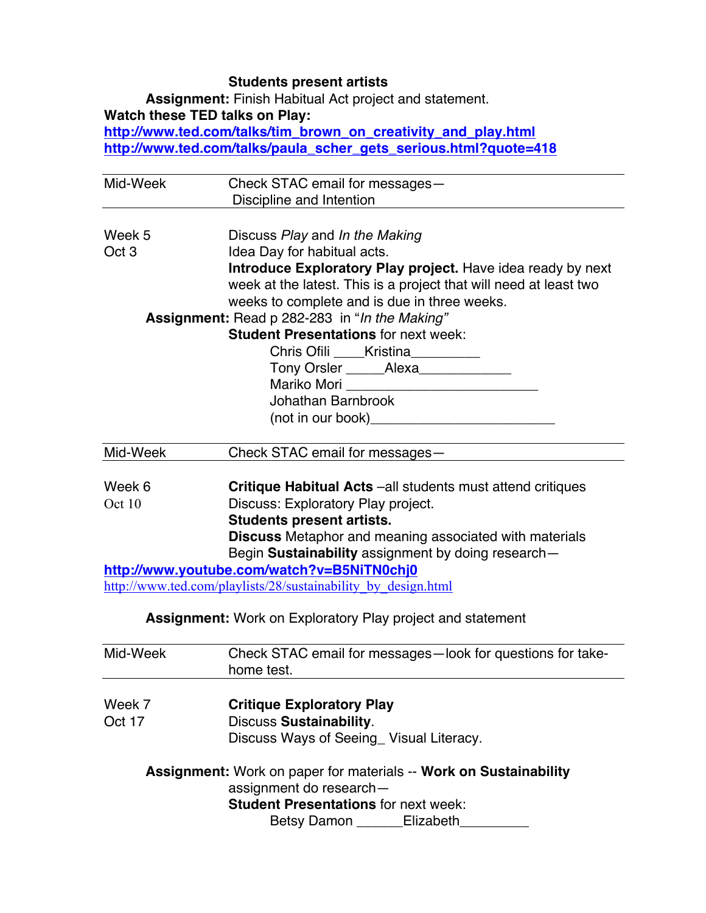## **Students present artists**

**Assignment:** Finish Habitual Act project and statement. **Watch these TED talks on Play: http://www.ted.com/talks/tim\_brown\_on\_creativity\_and\_play.html http://www.ted.com/talks/paula\_scher\_gets\_serious.html?quote=418**

| Check STAC email for messages-<br>Discipline and Intention<br>Week 5<br>Discuss Play and In the Making<br>Oct <sub>3</sub><br>Idea Day for habitual acts.<br>Introduce Exploratory Play project. Have idea ready by next<br>week at the latest. This is a project that will need at least two<br>weeks to complete and is due in three weeks.<br><b>Assignment:</b> Read p 282-283 in "In the Making"<br><b>Student Presentations for next week:</b><br>Chris Ofili _____Kristina__________<br>Tony Orsler ______Alexa______________<br>Johathan Barnbrook<br>(not in our book)________________________________<br>Mid-Week<br>Check STAC email for messages-<br>Week 6<br><b>Critique Habitual Acts</b> -all students must attend critiques<br>Discuss: Exploratory Play project.<br>Oct 10 |
|----------------------------------------------------------------------------------------------------------------------------------------------------------------------------------------------------------------------------------------------------------------------------------------------------------------------------------------------------------------------------------------------------------------------------------------------------------------------------------------------------------------------------------------------------------------------------------------------------------------------------------------------------------------------------------------------------------------------------------------------------------------------------------------------|
|                                                                                                                                                                                                                                                                                                                                                                                                                                                                                                                                                                                                                                                                                                                                                                                              |
|                                                                                                                                                                                                                                                                                                                                                                                                                                                                                                                                                                                                                                                                                                                                                                                              |
|                                                                                                                                                                                                                                                                                                                                                                                                                                                                                                                                                                                                                                                                                                                                                                                              |
|                                                                                                                                                                                                                                                                                                                                                                                                                                                                                                                                                                                                                                                                                                                                                                                              |
|                                                                                                                                                                                                                                                                                                                                                                                                                                                                                                                                                                                                                                                                                                                                                                                              |
|                                                                                                                                                                                                                                                                                                                                                                                                                                                                                                                                                                                                                                                                                                                                                                                              |
|                                                                                                                                                                                                                                                                                                                                                                                                                                                                                                                                                                                                                                                                                                                                                                                              |
|                                                                                                                                                                                                                                                                                                                                                                                                                                                                                                                                                                                                                                                                                                                                                                                              |
|                                                                                                                                                                                                                                                                                                                                                                                                                                                                                                                                                                                                                                                                                                                                                                                              |
|                                                                                                                                                                                                                                                                                                                                                                                                                                                                                                                                                                                                                                                                                                                                                                                              |
|                                                                                                                                                                                                                                                                                                                                                                                                                                                                                                                                                                                                                                                                                                                                                                                              |
|                                                                                                                                                                                                                                                                                                                                                                                                                                                                                                                                                                                                                                                                                                                                                                                              |
|                                                                                                                                                                                                                                                                                                                                                                                                                                                                                                                                                                                                                                                                                                                                                                                              |
|                                                                                                                                                                                                                                                                                                                                                                                                                                                                                                                                                                                                                                                                                                                                                                                              |
|                                                                                                                                                                                                                                                                                                                                                                                                                                                                                                                                                                                                                                                                                                                                                                                              |
|                                                                                                                                                                                                                                                                                                                                                                                                                                                                                                                                                                                                                                                                                                                                                                                              |
|                                                                                                                                                                                                                                                                                                                                                                                                                                                                                                                                                                                                                                                                                                                                                                                              |
|                                                                                                                                                                                                                                                                                                                                                                                                                                                                                                                                                                                                                                                                                                                                                                                              |
| <b>Students present artists.</b>                                                                                                                                                                                                                                                                                                                                                                                                                                                                                                                                                                                                                                                                                                                                                             |
| Discuss Metaphor and meaning associated with materials                                                                                                                                                                                                                                                                                                                                                                                                                                                                                                                                                                                                                                                                                                                                       |
| Begin Sustainability assignment by doing research-                                                                                                                                                                                                                                                                                                                                                                                                                                                                                                                                                                                                                                                                                                                                           |
| http://www.youtube.com/watch?v=B5NiTN0chj0                                                                                                                                                                                                                                                                                                                                                                                                                                                                                                                                                                                                                                                                                                                                                   |
| http://www.ted.com/playlists/28/sustainability by design.html                                                                                                                                                                                                                                                                                                                                                                                                                                                                                                                                                                                                                                                                                                                                |
| <b>Assignment:</b> Work on Exploratory Play project and statement                                                                                                                                                                                                                                                                                                                                                                                                                                                                                                                                                                                                                                                                                                                            |
| Mid-Week<br>Check STAC email for messages-look for questions for take-                                                                                                                                                                                                                                                                                                                                                                                                                                                                                                                                                                                                                                                                                                                       |
| home test.                                                                                                                                                                                                                                                                                                                                                                                                                                                                                                                                                                                                                                                                                                                                                                                   |
| Week 7<br><b>Critique Exploratory Play</b>                                                                                                                                                                                                                                                                                                                                                                                                                                                                                                                                                                                                                                                                                                                                                   |
| <b>Discuss Sustainability.</b><br>Oct 17                                                                                                                                                                                                                                                                                                                                                                                                                                                                                                                                                                                                                                                                                                                                                     |
| Discuss Ways of Seeing_ Visual Literacy.                                                                                                                                                                                                                                                                                                                                                                                                                                                                                                                                                                                                                                                                                                                                                     |
| Assignment: Work on paper for materials -- Work on Sustainability                                                                                                                                                                                                                                                                                                                                                                                                                                                                                                                                                                                                                                                                                                                            |
| assignment do research-                                                                                                                                                                                                                                                                                                                                                                                                                                                                                                                                                                                                                                                                                                                                                                      |
| <b>Student Presentations for next week:</b>                                                                                                                                                                                                                                                                                                                                                                                                                                                                                                                                                                                                                                                                                                                                                  |
| Betsy Damon ______Elizabeth                                                                                                                                                                                                                                                                                                                                                                                                                                                                                                                                                                                                                                                                                                                                                                  |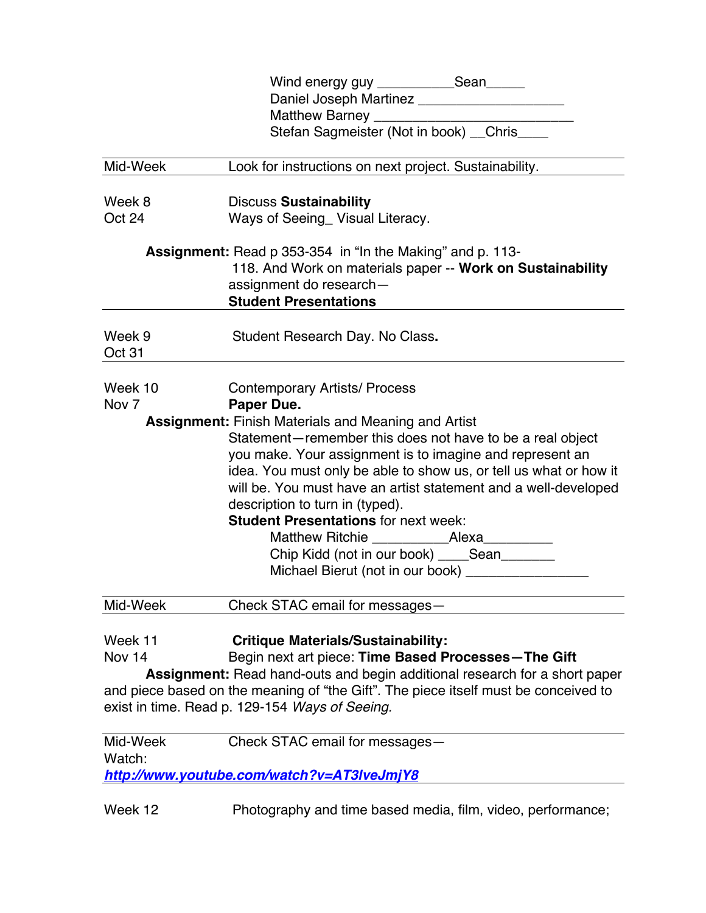|                  | Wind energy guy _____________Sean______                                             |
|------------------|-------------------------------------------------------------------------------------|
|                  | Daniel Joseph Martinez ______________________                                       |
|                  |                                                                                     |
|                  | Stefan Sagmeister (Not in book) _Chris_                                             |
| Mid-Week         | Look for instructions on next project. Sustainability.                              |
|                  |                                                                                     |
| Week 8           | <b>Discuss Sustainability</b>                                                       |
| Oct 24           | Ways of Seeing_ Visual Literacy.                                                    |
|                  | <b>Assignment:</b> Read p 353-354 in "In the Making" and p. 113-                    |
|                  | 118. And Work on materials paper -- Work on Sustainability                          |
|                  | assignment do research-                                                             |
|                  | <b>Student Presentations</b>                                                        |
| Week 9           | Student Research Day. No Class.                                                     |
| Oct 31           |                                                                                     |
|                  |                                                                                     |
| Week 10          | <b>Contemporary Artists/ Process</b>                                                |
| Nov <sub>7</sub> | Paper Due.                                                                          |
|                  | <b>Assignment: Finish Materials and Meaning and Artist</b>                          |
|                  | Statement-remember this does not have to be a real object                           |
|                  | you make. Your assignment is to imagine and represent an                            |
|                  | idea. You must only be able to show us, or tell us what or how it                   |
|                  | will be. You must have an artist statement and a well-developed                     |
|                  | description to turn in (typed).                                                     |
|                  | <b>Student Presentations for next week:</b>                                         |
|                  |                                                                                     |
|                  | Chip Kidd (not in our book) _____Sean_______                                        |
|                  | Michael Bierut (not in our book) ___________________                                |
| Mid-Week         | Check STAC email for messages-                                                      |
|                  |                                                                                     |
| Week 11          | <b>Critique Materials/Sustainability:</b>                                           |
| Nov 14           | Begin next art piece: Time Based Processes-The Gift                                 |
|                  | Assignment: Read hand-outs and begin additional research for a short paper          |
|                  | and piece based on the meaning of "the Gift". The piece itself must be conceived to |
|                  | exist in time. Read p. 129-154 Ways of Seeing.                                      |
| Mid-Week         | Check STAC email for messages-                                                      |
| Watch:           |                                                                                     |
|                  | http://www.youtube.com/watch?v=AT3IveJmjY8                                          |
| Week 12          | Photography and time based media, film, video, performance;                         |
|                  |                                                                                     |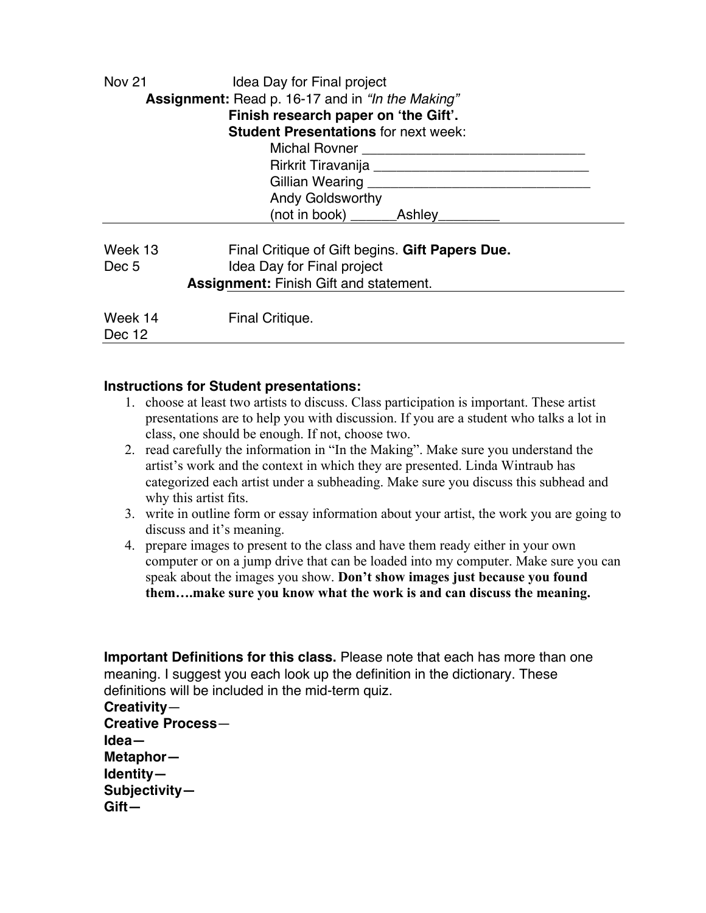| <b>Nov 21</b>                                 | Idea Day for Final project<br>Assignment: Read p. 16-17 and in "In the Making"<br>Finish research paper on 'the Gift'.<br><b>Student Presentations for next week:</b> |  |
|-----------------------------------------------|-----------------------------------------------------------------------------------------------------------------------------------------------------------------------|--|
|                                               | Michal Rovner <b>Exercise Structure</b> Michal Rovner                                                                                                                 |  |
|                                               | Rirkrit Tiravanija <b>Marshur Alixan angleški kalendarum</b> metalog angleški kalendarum og metalog angleški kalendaru                                                |  |
|                                               | Gillian Wearing                                                                                                                                                       |  |
|                                               | <b>Andy Goldsworthy</b>                                                                                                                                               |  |
|                                               | (not in book)<br>Ashlev                                                                                                                                               |  |
| Week 13                                       | Final Critique of Gift begins. Gift Papers Due.                                                                                                                       |  |
| Dec 5                                         | Idea Day for Final project                                                                                                                                            |  |
| <b>Assignment: Finish Gift and statement.</b> |                                                                                                                                                                       |  |
| Week 14<br>Dec 12                             | Final Critique.                                                                                                                                                       |  |

### **Instructions for Student presentations:**

- 1. choose at least two artists to discuss. Class participation is important. These artist presentations are to help you with discussion. If you are a student who talks a lot in class, one should be enough. If not, choose two.
- 2. read carefully the information in "In the Making". Make sure you understand the artist's work and the context in which they are presented. Linda Wintraub has categorized each artist under a subheading. Make sure you discuss this subhead and why this artist fits.
- 3. write in outline form or essay information about your artist, the work you are going to discuss and it's meaning.
- 4. prepare images to present to the class and have them ready either in your own computer or on a jump drive that can be loaded into my computer. Make sure you can speak about the images you show. **Don't show images just because you found them….make sure you know what the work is and can discuss the meaning.**

**Important Definitions for this class.** Please note that each has more than one meaning. I suggest you each look up the definition in the dictionary. These definitions will be included in the mid-term quiz.

**Creativity**— **Creative Process**— **Idea— Metaphor— Identity— Subjectivity— Gift—**